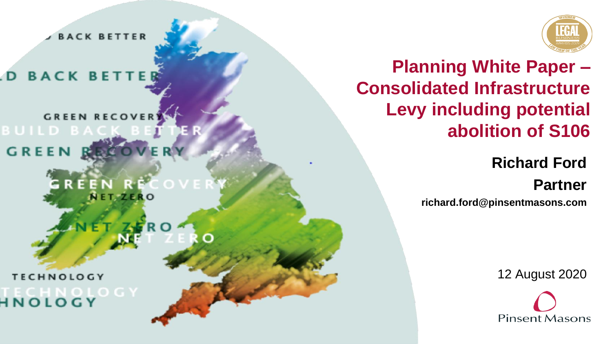**BACK BETTER** 

**BACK BETTE** 

**GREEN RECOVER** BUILD BA **GREEN** 

> **RE** EN **NET-ZERC**

**TECHNOLOGY HNOLOGY** 



**Planning White Paper – Consolidated Infrastructure Levy including potential abolition of S106**

> **Richard Ford Partner**

**richard.ford@pinsentmasons.com**

12 August 2020

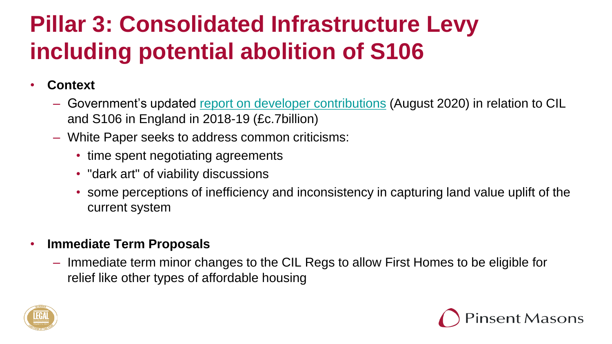#### • **Context**

- Government's updated [report on developer contributions](https://assets.publishing.service.gov.uk/government/uploads/system/uploads/attachment_data/file/907203/The_Value_and_Incidence_of_Developer_Contributions_in_England_201819.pdf) (August 2020) in relation to CIL and S106 in England in 2018-19 (£c.7billion)
- White Paper seeks to address common criticisms:
	- time spent negotiating agreements
	- "dark art" of viability discussions
	- some perceptions of inefficiency and inconsistency in capturing land value uplift of the current system

#### • **Immediate Term Proposals**

– Immediate term minor changes to the CIL Regs to allow First Homes to be eligible for relief like other types of affordable housing



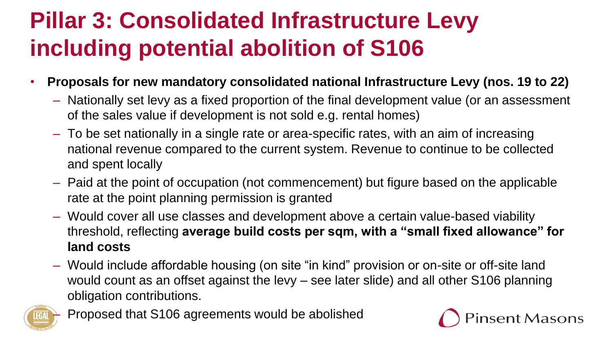- **Proposals for new mandatory consolidated national Infrastructure Levy (nos. 19 to 22)**
	- Nationally set levy as a fixed proportion of the final development value (or an assessment of the sales value if development is not sold e.g. rental homes)
	- To be set nationally in a single rate or area-specific rates, with an aim of increasing national revenue compared to the current system. Revenue to continue to be collected and spent locally
	- Paid at the point of occupation (not commencement) but figure based on the applicable rate at the point planning permission is granted
	- Would cover all use classes and development above a certain value-based viability threshold, reflecting **average build costs per sqm, with a "small fixed allowance" for land costs**
	- Would include affordable housing (on site "in kind" provision or on-site or off-site land would count as an offset against the levy – see later slide) and all other S106 planning obligation contributions.



– Proposed that S106 agreements would be abolished

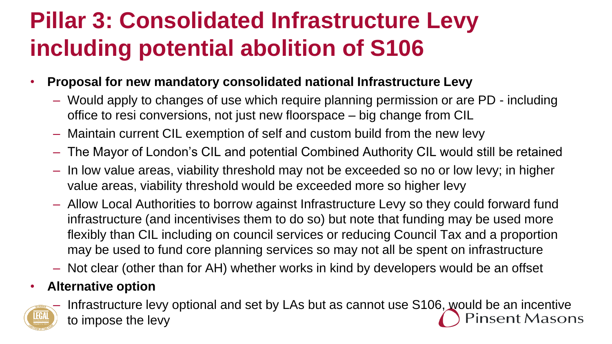- **Proposal for new mandatory consolidated national Infrastructure Levy**
	- Would apply to changes of use which require planning permission or are PD including office to resi conversions, not just new floorspace – big change from CIL
	- Maintain current CIL exemption of self and custom build from the new levy
	- The Mayor of London's CIL and potential Combined Authority CIL would still be retained
	- In low value areas, viability threshold may not be exceeded so no or low levy; in higher value areas, viability threshold would be exceeded more so higher levy
	- Allow Local Authorities to borrow against Infrastructure Levy so they could forward fund infrastructure (and incentivises them to do so) but note that funding may be used more flexibly than CIL including on council services or reducing Council Tax and a proportion may be used to fund core planning services so may not all be spent on infrastructure
	- Not clear (other than for AH) whether works in kind by developers would be an offset

#### • **Alternative option**



Infrastructure levy optional and set by LAs but as cannot use S106, would be an incentive nsent Masons to impose the levy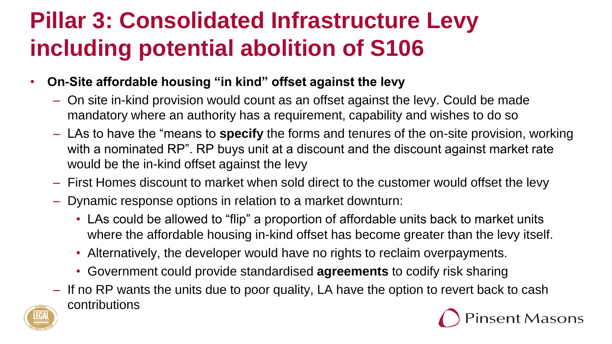- **On-Site affordable housing "in kind" offset against the levy**
	- On site in-kind provision would count as an offset against the levy. Could be made mandatory where an authority has a requirement, capability and wishes to do so
	- LAs to have the "means to **specify** the forms and tenures of the on-site provision, working with a nominated RP". RP buys unit at a discount and the discount against market rate would be the in-kind offset against the levy
	- First Homes discount to market when sold direct to the customer would offset the levy
	- Dynamic response options in relation to a market downturn:
		- LAs could be allowed to "flip" a proportion of affordable units back to market units where the affordable housing in-kind offset has become greater than the levy itself.
		- Alternatively, the developer would have no rights to reclaim overpayments.
		- Government could provide standardised **agreements** to codify risk sharing
	- If no RP wants the units due to poor quality, LA have the option to revert back to cash contributionsnsent Masons

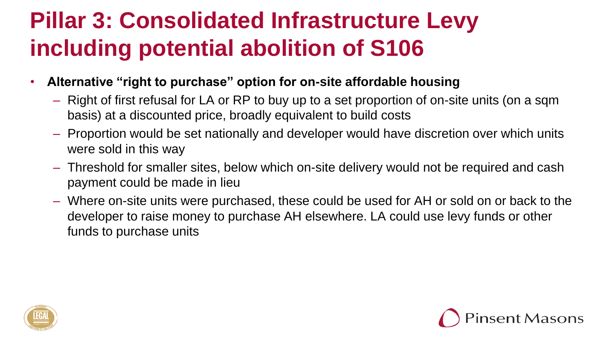- **Alternative "right to purchase" option for on-site affordable housing**
	- Right of first refusal for LA or RP to buy up to a set proportion of on-site units (on a sqm basis) at a discounted price, broadly equivalent to build costs
	- Proportion would be set nationally and developer would have discretion over which units were sold in this way
	- Threshold for smaller sites, below which on-site delivery would not be required and cash payment could be made in lieu
	- Where on-site units were purchased, these could be used for AH or sold on or back to the developer to raise money to purchase AH elsewhere. LA could use levy funds or other funds to purchase units



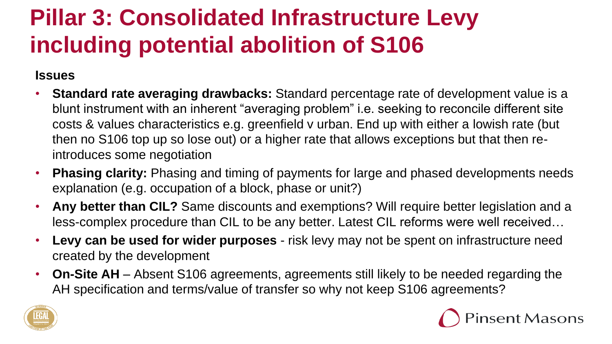#### **Issues**

- **Standard rate averaging drawbacks:** Standard percentage rate of development value is a blunt instrument with an inherent "averaging problem" i.e. seeking to reconcile different site costs & values characteristics e.g. greenfield v urban. End up with either a lowish rate (but then no S106 top up so lose out) or a higher rate that allows exceptions but that then reintroduces some negotiation
- **Phasing clarity:** Phasing and timing of payments for large and phased developments needs explanation (e.g. occupation of a block, phase or unit?)
- **Any better than CIL?** Same discounts and exemptions? Will require better legislation and a less-complex procedure than CIL to be any better. Latest CIL reforms were well received…
- **Levy can be used for wider purposes**  risk levy may not be spent on infrastructure need created by the development
- **On-Site AH**  Absent S106 agreements, agreements still likely to be needed regarding the AH specification and terms/value of transfer so why not keep S106 agreements?



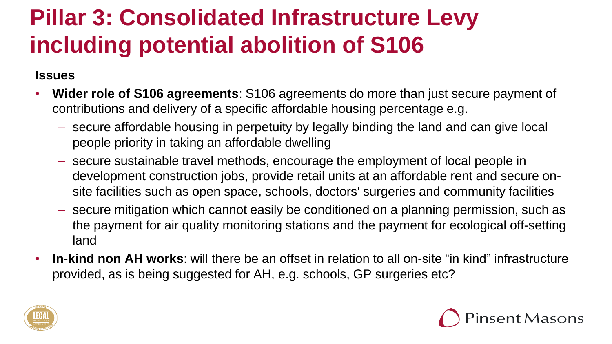#### **Issues**

- **Wider role of S106 agreements**: S106 agreements do more than just secure payment of contributions and delivery of a specific affordable housing percentage e.g.
	- secure affordable housing in perpetuity by legally binding the land and can give local people priority in taking an affordable dwelling
	- secure sustainable travel methods, encourage the employment of local people in development construction jobs, provide retail units at an affordable rent and secure onsite facilities such as open space, schools, doctors' surgeries and community facilities
	- secure mitigation which cannot easily be conditioned on a planning permission, such as the payment for air quality monitoring stations and the payment for ecological off-setting land
- **In-kind non AH works**: will there be an offset in relation to all on-site "in kind" infrastructure provided, as is being suggested for AH, e.g. schools, GP surgeries etc?



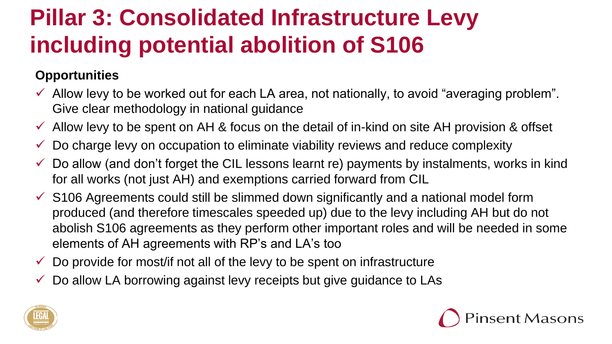#### **Opportunities**

- $\checkmark$  Allow levy to be worked out for each LA area, not nationally, to avoid "averaging problem". Give clear methodology in national guidance
- $\checkmark$  Allow levy to be spent on AH & focus on the detail of in-kind on site AH provision & offset
- $\checkmark$  Do charge levy on occupation to eliminate viability reviews and reduce complexity
- $\checkmark$  Do allow (and don't forget the CIL lessons learnt re) payments by instalments, works in kind for all works (not just AH) and exemptions carried forward from CIL
- $\checkmark$  S106 Agreements could still be slimmed down significantly and a national model form produced (and therefore timescales speeded up) due to the levy including AH but do not abolish S106 agreements as they perform other important roles and will be needed in some elements of AH agreements with RP's and LA's too
- $\checkmark$  Do provide for most/if not all of the levy to be spent on infrastructure
- $\checkmark$  Do allow LA borrowing against levy receipts but give guidance to LAs